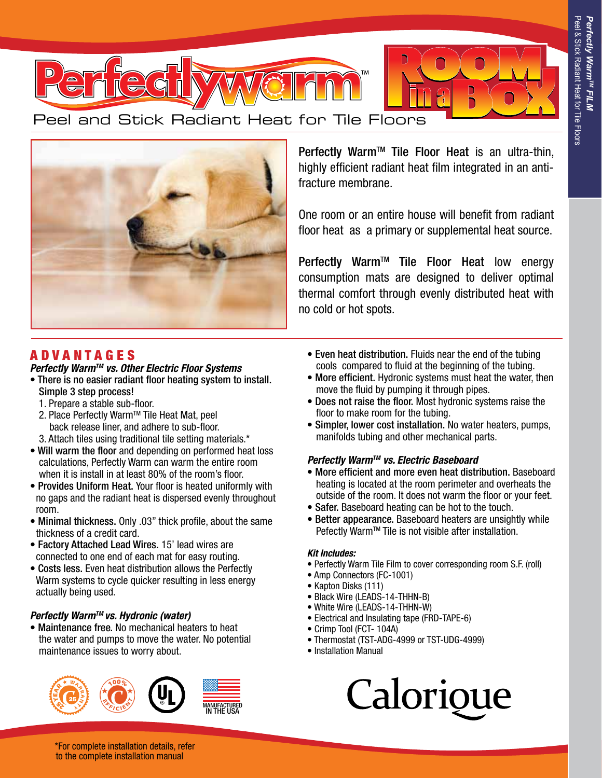

Peel and Stick Radiant Heat for Tile Floors



Perfectly Warm<sup>™</sup> Tile Floor Heat is an ultra-thin, highly efficient radiant heat film integrated in an antifracture membrane.

One room or an entire house will benefit from radiant floor heat as a primary or supplemental heat source.

Perfectly Warm<sup>™</sup> Tile Floor Heat low energy consumption mats are designed to deliver optimal thermal comfort through evenly distributed heat with no cold or hot spots.

# A D V A N T A G E S

# *Perfectly WarmTM vs. Other Electric Floor Systems*

- There is no easier radiant floor heating system to install. Simple 3 step process!
	- 1. Prepare a stable sub-floor.
	- 2. Place Perfectly Warm™ Tile Heat Mat, peel back release liner, and adhere to sub-floor. 3. Attach tiles using traditional tile setting materials.\*
- Will warm the floor and depending on performed heat loss calculations, Perfectly Warm can warm the entire room when it is install in at least 80% of the room's floor.
- Provides Uniform Heat. Your floor is heated uniformly with no gaps and the radiant heat is dispersed evenly throughout room.
- Minimal thickness. Only .03" thick profile, about the same thickness of a credit card.
- Factory Attached Lead Wires. 15' lead wires are connected to one end of each mat for easy routing.
- Costs less. Even heat distribution allows the Perfectly Warm systems to cycle quicker resulting in less energy actually being used.

#### *Perfectly WarmTM vs. Hydronic (water)*

• Maintenance free. No mechanical heaters to heat the water and pumps to move the water. No potential maintenance issues to worry about.



- Even heat distribution. Fluids near the end of the tubing cools compared to fluid at the beginning of the tubing.
- More efficient. Hydronic systems must heat the water, then move the fluid by pumping it through pipes.
- Does not raise the floor. Most hydronic systems raise the floor to make room for the tubing.
- Simpler, lower cost installation. No water heaters, pumps, manifolds tubing and other mechanical parts.

#### *Perfectly WarmTM vs. Electric Baseboard*

- More efficient and more even heat distribution. Baseboard heating is located at the room perimeter and overheats the outside of the room. It does not warm the floor or your feet.
- Safer. Baseboard heating can be hot to the touch.
- Better appearance. Baseboard heaters are unsightly while Pefectly Warm™ Tile is not visible after installation.

#### *Kit Includes:*

- Perfectly Warm Tile Film to cover corresponding room S.F. (roll)
- Amp Connectors (FC-1001)
- Kapton Disks (111)
- Black Wire (LEADS-14-THHN-B)
- White Wire (LEADS-14-THHN-W)
- Electrical and Insulating tape (FRD-TAPE-6)
- Crimp Tool (FCT- 104A)
- Thermostat (TST-ADG-4999 or TST-UDG-4999)
- Installation Manual



\*For complete installation details, refer to the complete installation manual